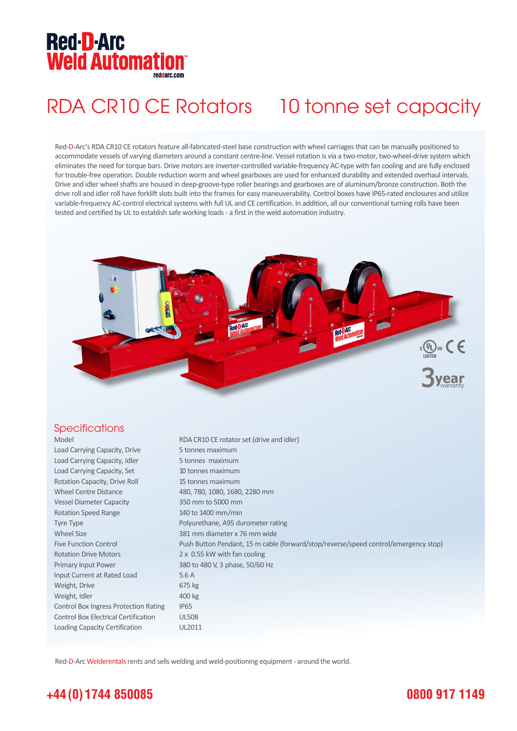## **Red-D-Arc Weld Automation®**

# RDA CR10 CE Rotators 10 tonne set capacity

Red-D-Arc's RDA CR10 CE rotators feature all-fabricated-steel base construction with wheel carriages that can be manually positioned to accommodate vessels of varying diameters around a constant centre-line. Vessel rotation is via a two-motor, two-wheel-drive system which eliminates the need for torque bars. Drive motors are inverter-controlled variable-frequency AC-type with fan cooling and are fully enclosed for trouble-free operation. Double reduction worm and wheel gearboxes are used for enhanced durability and extended overhaul intervals. Drive and idler wheel shafts are housed in deep-groove-type roller bearings and gearboxes are of aluminum/bronze construction. Both the drive roll and idler roll have forklift slots built into the frames for easy maneuverability. Control boxes have IP65-rated enclosures and utilize variable-frequency AC-control electrical systems with full UL and CE certification. In addition, all our conventional turning rolls have been tested and certified by UL to establish safe working loads - a first in the weld automation industry.



### **Specifications**

Model RDA CR10 CE rotator set (drive and idler) Load Carrying Capacity, Drive 5 tonnes maximum Load Carrying Capacity, Idler 5 tonnes maximum Load Carrying Capacity, Set 10 tonnes maximum Rotation Capacity, Drive Roll 15 tonnes maximum Wheel Centre Distance 480, 780, 1080, 1680, 2280 mm Vessel Diameter Capacity 350 mm to 5000 mm Rotation Speed Range 140 to 1400 mm/min Tyre Type **Polyurethane**, A95 durometer rating Wheel Size 381 mm diameter x 76 mm wide Five Function Control Push Button Pendant, 15 m cable (forward/stop/reverse/speed control/emergency stop) Rotation Drive Motors 2 x 0.55 kW with fan cooling Primary Input Power 380 to 480 V, 3 phase, 50/60 Hz Input Current at Rated Load 5.6 A Weight, Drive 675 kg Weight, Idler 400 kg Control Box Ingress Protection Rating IP65 Control Box Electrical Certification UL508 Loading Capacity Certification UL2011

Red-D-Arc Welderentals rents and sells welding and weld-positioning equipment - around the world.

## **+44 (0) 1744 850085**

## **0800 917 1149**